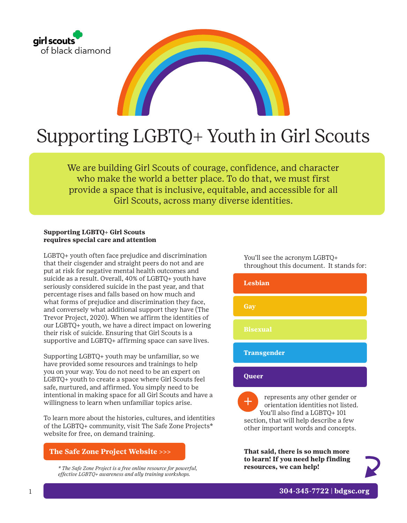

# Supporting LGBTQ+ Youth in Girl Scouts

We are building Girl Scouts of courage, confidence, and character who make the world a better place. To do that, we must first provide a space that is inclusive, equitable, and accessible for all Girl Scouts, across many diverse identities.

#### **Supporting LGBTQ+ Girl Scouts requires special care and attention**

LGBTQ+ youth often face prejudice and discrimination that their cisgender and straight peers do not and are put at risk for negative mental health outcomes and suicide as a result. Overall, 40% of LGBTQ+ youth have seriously considered suicide in the past year, and that percentage rises and falls based on how much and what forms of prejudice and discrimination they face, and conversely what additional support they have (The Trevor Project, 2020). When we affirm the identities of our LGBTQ+ youth, we have a direct impact on lowering their risk of suicide. Ensuring that Girl Scouts is a supportive and LGBTQ+ affirming space can save lives.

Supporting LGBTQ+ youth may be unfamiliar, so we have provided some resources and trainings to help you on your way. You do not need to be an expert on LGBTQ+ youth to create a space where Girl Scouts feel safe, nurtured, and affirmed. You simply need to be intentional in making space for all Girl Scouts and have a willingness to learn when unfamiliar topics arise.

To learn more about the histories, cultures, and identities of the LGBTQ+ community, visit The Safe Zone Projects\* website for free, on demand training.

### **[The Safe Zone Project Website >>>](https://thesafezoneproject.com/resources/courses/)**

*\* The Safe Zone Project is a free online resource for powerful, effective LGBTQ+ awareness and ally training workshops.*

You'll see the acronym LGBTQ+ throughout this document. It stands for:

 represents any other gender or orientation identities not listed. You'll also find a LGBTQ+ 101 section, that will help describe a few other important words and concepts. + **Lesbian Gay Bisexual Transgender Queer**

**That said, there is so much more to learn! If you need help finding resources, we can help!**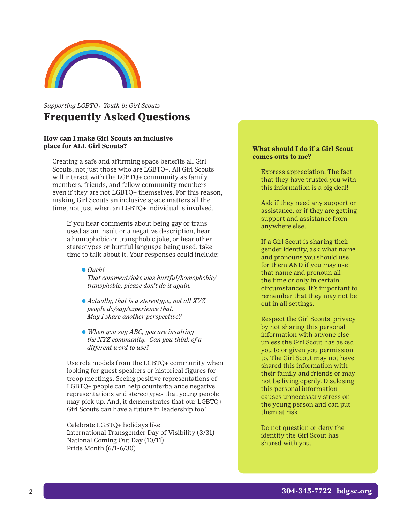

## *Supporting LGBTQ+ Youth in Girl Scouts* **Frequently Asked Questions**

#### **How can I make Girl Scouts an inclusive place for ALL Girl Scouts?**

Creating a safe and affirming space benefits all Girl Scouts, not just those who are LGBTQ+. All Girl Scouts will interact with the LGBTQ+ community as family members, friends, and fellow community members even if they are not LGBTQ+ themselves. For this reason, making Girl Scouts an inclusive space matters all the time, not just when an LGBTQ+ individual is involved.

If you hear comments about being gay or trans used as an insult or a negative description, hear a homophobic or transphobic joke, or hear other stereotypes or hurtful language being used, take time to talk about it. Your responses could include:

e *Ouch! That comment/joke was hurtful/homophobic/ transphobic, please don't do it again.* 

- e *Actually, that is a stereotype, not all XYZ people do/say/experience that. May I share another perspective?*
- e *When you say ABC, you are insulting the XYZ community. Can you think of a different word to use?*

Use role models from the LGBTQ+ community when looking for guest speakers or historical figures for troop meetings. Seeing positive representations of LGBTQ+ people can help counterbalance negative representations and stereotypes that young people may pick up. And, it demonstrates that our LGBTQ+ Girl Scouts can have a future in leadership too!

Celebrate LGBTQ+ holidays like International Transgender Day of Visibility (3/31) National Coming Out Day (10/11) Pride Month (6/1-6/30)

#### **What should I do if a Girl Scout comes outs to me?**

Express appreciation. The fact that they have trusted you with this information is a big deal!

Ask if they need any support or assistance, or if they are getting support and assistance from anywhere else.

If a Girl Scout is sharing their gender identity, ask what name and pronouns you should use for them AND if you may use that name and pronoun all the time or only in certain circumstances. It's important to remember that they may not be out in all settings.

Respect the Girl Scouts' privacy by not sharing this personal information with anyone else unless the Girl Scout has asked you to or given you permission to. The Girl Scout may not have shared this information with their family and friends or may not be living openly. Disclosing this personal information causes unnecessary stress on the young person and can put them at risk.

Do not question or deny the identity the Girl Scout has shared with you.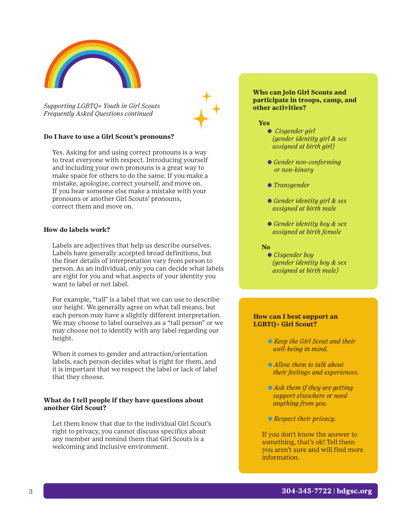

*Supporting LGBTQ+ Youth in Girl Scouts Frequently Asked Questions continued*

#### **Do I have to use a Girl Scout's pronouns?**

Yes. Asking for and using correct pronouns is a way to treat everyone with respect. Introducing yourself and including your own pronouns is a great way to make space for others to do the same. If you make a mistake, apologize, correct yourself, and move on. If you hear someone else make a mistake with your pronouns or another Girl Scouts' pronouns, correct them and move on.

#### **How do labels work?**

Labels are adjectives that help us describe ourselves. Labels have generally accepted broad definitions, but the finer details of interpretation vary from person to person. As an individual, only you can decide what labels are right for you and what aspects of your identity you want to label or not label.

For example, "tall" is a label that we can use to describe our height. We generally agree on what tall means, but each person may have a slightly different interpretation. We may choose to label ourselves as a "tall person" or we may choose not to identify with any label regarding our height.

When it comes to gender and attraction/orientation labels, each person decides what is right for them, and it is important that we respect the label or lack of label that they choose.

#### **What do I tell people if they have questions about another Girl Scout?**

Let them know that due to the individual Girl Scout's right to privacy, you cannot discuss specifics about any member and remind them that Girl Scouts is a welcoming and inclusive environment.

#### **Who can join Girl Scouts and participate in troops, camp, and other activities?**

#### **Yes**

- e *Cisgender girl (gender identity girl & sex assigned at birth girl)*
- e *Gender non-conforming or non-binary*
- e *Transgender*
- e *Gender identity girl & sex assigned at birth male*
- e *Gender identity boy & sex assigned at birth female*

#### **No**

**• Cisgender boy** *(gender identity boy & sex assigned at birth male)*

#### **How can I best support an LGBTQ+ Girl Scout?**

- e *Keep the Girl Scout and their well-being in mind.*
- e *Allow them to talk about their feelings and experiences.*
- e *Ask them if they are getting support elsewhere or need anything from you.*
- e *Respect their privacy.*

If you don't know the answer to something, that's ok! Tell them you aren't sure and will find more information.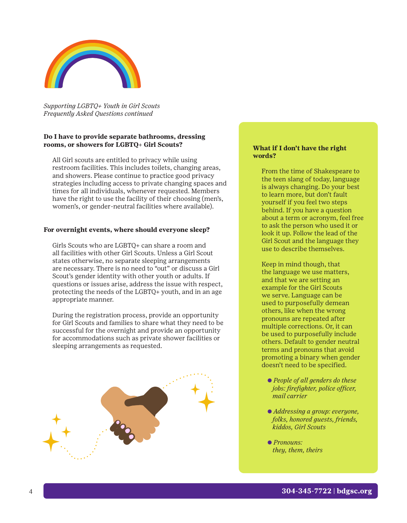

*Supporting LGBTQ+ Youth in Girl Scouts Frequently Asked Questions continued*

#### **Do I have to provide separate bathrooms, dressing rooms, or showers for LGBTQ+ Girl Scouts?**

All Girl scouts are entitled to privacy while using restroom facilities. This includes toilets, changing areas, and showers. Please continue to practice good privacy strategies including access to private changing spaces and times for all individuals, whenever requested. Members have the right to use the facility of their choosing (men's, women's, or gender-neutral facilities where available).

#### **For overnight events, where should everyone sleep?**

Girls Scouts who are LGBTQ+ can share a room and all facilities with other Girl Scouts. Unless a Girl Scout states otherwise, no separate sleeping arrangements are necessary. There is no need to "out" or discuss a Girl Scout's gender identity with other youth or adults. If questions or issues arise, address the issue with respect, protecting the needs of the LGBTQ+ youth, and in an age appropriate manner.

During the registration process, provide an opportunity for Girl Scouts and families to share what they need to be successful for the overnight and provide an opportunity for accommodations such as private shower facilities or sleeping arrangements as requested.



#### **What if I don't have the right words?**

From the time of Shakespeare to the teen slang of today, language is always changing. Do your best to learn more, but don't fault yourself if you feel two steps behind. If you have a question about a term or acronym, feel free to ask the person who used it or look it up. Follow the lead of the Girl Scout and the language they use to describe themselves.

Keep in mind though, that the language we use matters, and that we are setting an example for the Girl Scouts we serve. Language can be used to purposefully demean others, like when the wrong pronouns are repeated after multiple corrections. Or, it can be used to purposefully include others. Default to gender neutral terms and pronouns that avoid promoting a binary when gender doesn't need to be specified.

- e *People of all genders do these jobs: firefighter, police officer, mail carrier*
- e *Addressing a group: everyone, folks, honored guests, friends, kiddos, Girl Scouts*
- e *Pronouns: they, them, theirs*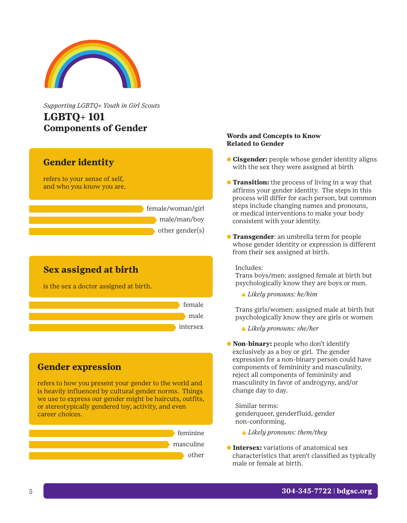

*Supporting LGBTQ+ Youth in Girl Scouts*  **LGBTQ+ 101 Components of Gender**

## **Gender identity**

refers to your sense of self, and who you know you are.

> female/woman/girl male/man/boy other gender(s)

## **Sex assigned at birth**

is the sex a doctor assigned at birth.



## **Gender expression**

refers to how you present your gender to the world and is heavily influenced by cultural gender norms. Things we use to express our gender might be haircuts, outfits, or stereotypically gendered toy, activity, and even career choices.



## **Words and Concepts to Know Related to Gender**

- **Cisgender:** people whose gender identity aligns with the sex they were assigned at birth
- **Transition:** the process of living in a way that affirms your gender identity. The steps in this process will differ for each person, but common steps include changing names and pronouns, or medical interventions to make your body consistent with your identity.
- **Transgender:** an umbrella term for people whose gender identity or expression is different from their sex assigned at birth.

Includes:

Trans boys/men: assigned female at birth but psychologically know they are boys or men.

b *Likely pronouns: he/him*

Trans girls/women: assigned male at birth but psychologically know they are girls or women

- b *Likely pronouns: she/her*
- e **Non-binary:** people who don't identify exclusively as a boy or girl. The gender expression for a non-binary person could have components of femininity and masculinity, reject all components of femininity and masculinity in favor of androgyny, and/or change day to day.

Similar terms: genderqueer, genderfluid, gender non-conforming.

- b *Likely pronouns: them/they*
- **The Intersex:** variations of anatomical sex characteristics that aren't classified as typically male or female at birth.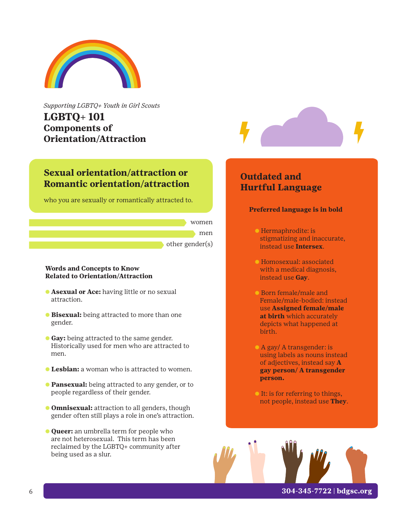

*Supporting LGBTQ+ Youth in Girl Scouts*  **LGBTQ+ 101 Components of Orientation/Attraction**

## **Sexual orientation/attraction or Romantic orientation/attraction**

who you are sexually or romantically attracted to.



#### **Words and Concepts to Know Related to Orientation/Attraction**

- e **Asexual or Ace:** having little or no sexual attraction.
- e **Bisexual:** being attracted to more than one gender.
- e **Gay:** being attracted to the same gender. Historically used for men who are attracted to men.
- e **Lesbian:** a woman who is attracted to women.
- e **Pansexual:** being attracted to any gender, or to people regardless of their gender.
- e **Omnisexual:** attraction to all genders, though gender often still plays a role in one's attraction.
- e **Queer:** an umbrella term for people who are not heterosexual. This term has been reclaimed by the LGBTQ+ community after being used as a slur.



# **Outdated and Hurtful Language**

### **Preferred language is in bold**

- e Hermaphrodite: is stigmatizing and inaccurate, instead use **Intersex**.
- e Homosexual: associated with a medical diagnosis, instead use **Gay**.
- e Born female/male and Female/male-bodied: instead use **Assigned female/male at birth** which accurately depicts what happened at birth.
- e A gay/ A transgender: is using labels as nouns instead of adjectives, instead say **A gay person/ A transgender person.**
- **Example 1** It: is for referring to things, not people, instead use **They**.